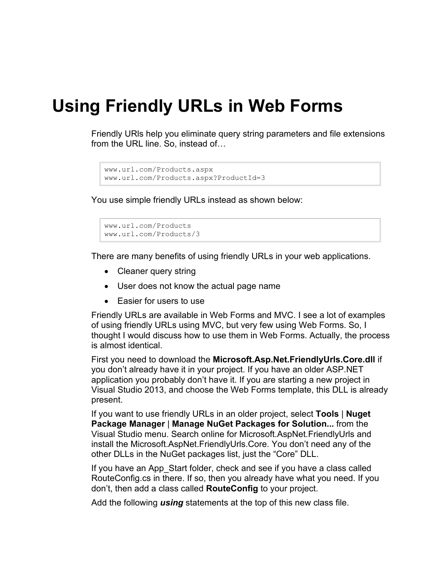## **Using Friendly URLs in Web Forms**

Friendly URls help you eliminate query string parameters and file extensions from the URL line. So, instead of…

```
www.url.com/Products.aspx
www.url.com/Products.aspx?ProductId=3
```
You use simple friendly URLs instead as shown below:

```
www.url.com/Products
www.url.com/Products/3
```
There are many benefits of using friendly URLs in your web applications.

- Cleaner query string
- User does not know the actual page name
- Easier for users to use

Friendly URLs are available in Web Forms and MVC. I see a lot of examples of using friendly URLs using MVC, but very few using Web Forms. So, I thought I would discuss how to use them in Web Forms. Actually, the process is almost identical.

First you need to download the **Microsoft.Asp.Net.FriendlyUrls.Core.dll** if you don't already have it in your project. If you have an older ASP.NET application you probably don't have it. If you are starting a new project in Visual Studio 2013, and choose the Web Forms template, this DLL is already present.

If you want to use friendly URLs in an older project, select **Tools** | **Nuget Package Manager** | **Manage NuGet Packages for Solution...** from the Visual Studio menu. Search online for Microsoft.AspNet.FriendlyUrls and install the Microsoft.AspNet.FriendlyUrls.Core. You don't need any of the other DLLs in the NuGet packages list, just the "Core" DLL.

If you have an App\_Start folder, check and see if you have a class called RouteConfig.cs in there. If so, then you already have what you need. If you don't, then add a class called **RouteConfig** to your project.

Add the following *using* statements at the top of this new class file.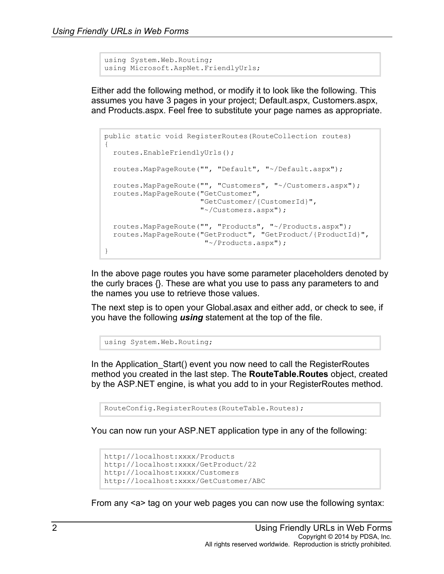```
using System.Web.Routing;
using Microsoft.AspNet.FriendlyUrls;
```
Either add the following method, or modify it to look like the following. This assumes you have 3 pages in your project; Default.aspx, Customers.aspx, and Products.aspx. Feel free to substitute your page names as appropriate.

```
public static void RegisterRoutes(RouteCollection routes)
{
  routes.EnableFriendlyUrls();
  routes.MapPageRoute("", "Default", "~/Default.aspx");
  routes.MapPageRoute("", "Customers", "~/Customers.aspx");
  routes.MapPageRoute("GetCustomer",
                       "GetCustomer/{CustomerId}",
                       "~/Customers.aspx");
  routes.MapPageRoute("", "Products", "~/Products.aspx");
  routes.MapPageRoute("GetProduct", "GetProduct/{ProductId}",
                        "~/Products.aspx");
}
```
In the above page routes you have some parameter placeholders denoted by the curly braces  $\{\}$ . These are what you use to pass any parameters to and the names you use to retrieve those values.

The next step is to open your Global.asax and either add, or check to see, if you have the following *using* statement at the top of the file.

using System.Web.Routing;

In the Application Start() event you now need to call the RegisterRoutes method you created in the last step. The **RouteTable.Routes** object, created by the ASP.NET engine, is what you add to in your RegisterRoutes method.

RouteConfig.RegisterRoutes(RouteTable.Routes);

You can now run your ASP.NET application type in any of the following:

```
http://localhost:xxxx/Products
http://localhost:xxxx/GetProduct/22
http://localhost:xxxx/Customers
http://localhost:xxxx/GetCustomer/ABC
```
From any <a> tag on your web pages you can now use the following syntax: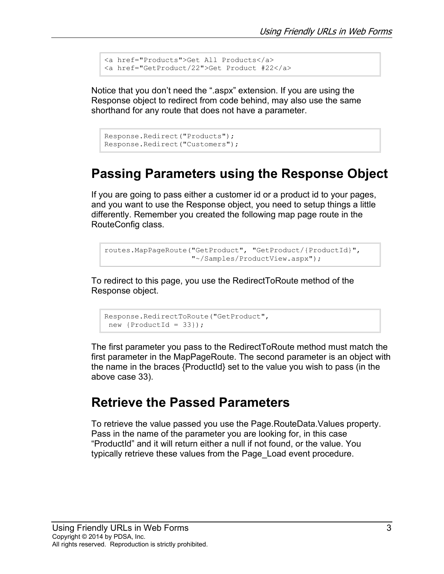```
<a href="Products">Get All Products</a>
<a href="GetProduct/22">Get Product #22</a>
```
Notice that you don't need the ".aspx" extension. If you are using the Response object to redirect from code behind, may also use the same shorthand for any route that does not have a parameter.

```
Response.Redirect("Products");
Response.Redirect("Customers");
```
## **Passing Parameters using the Response Object**

If you are going to pass either a customer id or a product id to your pages, and you want to use the Response object, you need to setup things a little differently. Remember you created the following map page route in the RouteConfig class.

```
routes.MapPageRoute("GetProduct", "GetProduct/{ProductId}",
                     "~/Samples/ProductView.aspx");
```
To redirect to this page, you use the RedirectToRoute method of the Response object.

```
Response.RedirectToRoute("GetProduct", 
new {ProductId = 33});
```
The first parameter you pass to the RedirectToRoute method must match the first parameter in the MapPageRoute. The second parameter is an object with the name in the braces {ProductId} set to the value you wish to pass (in the above case 33).

## **Retrieve the Passed Parameters**

To retrieve the value passed you use the Page.RouteData.Values property. Pass in the name of the parameter you are looking for, in this case "ProductId" and it will return either a null if not found, or the value. You typically retrieve these values from the Page\_Load event procedure.